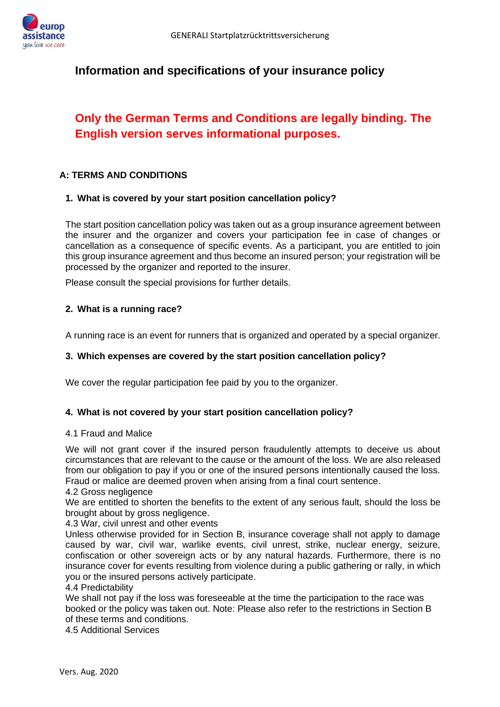

## **Information and specifications of your insurance policy**

# **Only the German Terms and Conditions are legally binding. The English version serves informational purposes.**

## **A: TERMS AND CONDITIONS**

## **1. What is covered by your start position cancellation policy?**

The start position cancellation policy was taken out as a group insurance agreement between the insurer and the organizer and covers your participation fee in case of changes or cancellation as a consequence of specific events. As a participant, you are entitled to join this group insurance agreement and thus become an insured person; your registration will be processed by the organizer and reported to the insurer.

Please consult the special provisions for further details.

## **2. What is a running race?**

A running race is an event for runners that is organized and operated by a special organizer.

## **3. Which expenses are covered by the start position cancellation policy?**

We cover the regular participation fee paid by you to the organizer.

## **4. What is not covered by your start position cancellation policy?**

## 4.1 Fraud and Malice

We will not grant cover if the insured person fraudulently attempts to deceive us about circumstances that are relevant to the cause or the amount of the loss. We are also released from our obligation to pay if you or one of the insured persons intentionally caused the loss. Fraud or malice are deemed proven when arising from a final court sentence.

4.2 Gross negligence

We are entitled to shorten the benefits to the extent of any serious fault, should the loss be brought about by gross negligence.

4.3 War, civil unrest and other events

Unless otherwise provided for in Section B, insurance coverage shall not apply to damage caused by war, civil war, warlike events, civil unrest, strike, nuclear energy, seizure, confiscation or other sovereign acts or by any natural hazards. Furthermore, there is no insurance cover for events resulting from violence during a public gathering or rally, in which you or the insured persons actively participate.

4.4 Predictability

We shall not pay if the loss was foreseeable at the time the participation to the race was booked or the policy was taken out. Note: Please also refer to the restrictions in Section B of these terms and conditions.

4.5 Additional Services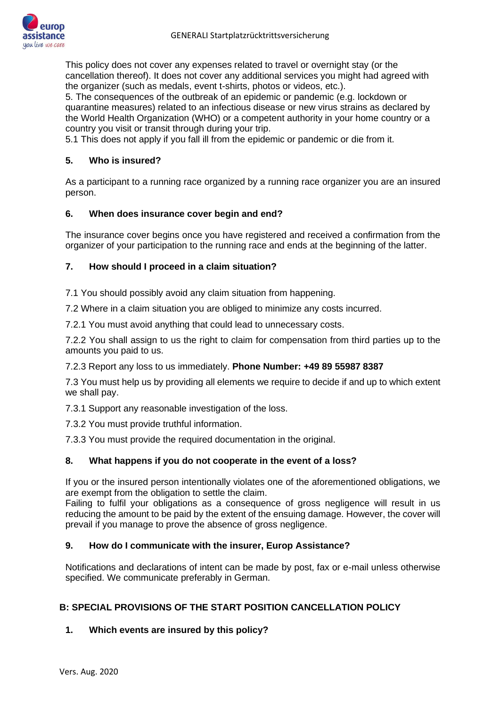

This policy does not cover any expenses related to travel or overnight stay (or the cancellation thereof). It does not cover any additional services you might had agreed with the organizer (such as medals, event t-shirts, photos or videos, etc.).

5. The consequences of the outbreak of an epidemic or pandemic (e.g. lockdown or quarantine measures) related to an infectious disease or new virus strains as declared by the World Health Organization (WHO) or a competent authority in your home country or a country you visit or transit through during your trip.

5.1 This does not apply if you fall ill from the epidemic or pandemic or die from it.

## **5. Who is insured?**

As a participant to a running race organized by a running race organizer you are an insured person.

## **6. When does insurance cover begin and end?**

The insurance cover begins once you have registered and received a confirmation from the organizer of your participation to the running race and ends at the beginning of the latter.

## **7. How should I proceed in a claim situation?**

7.1 You should possibly avoid any claim situation from happening.

7.2 Where in a claim situation you are obliged to minimize any costs incurred.

7.2.1 You must avoid anything that could lead to unnecessary costs.

7.2.2 You shall assign to us the right to claim for compensation from third parties up to the amounts you paid to us.

## 7.2.3 Report any loss to us immediately. **Phone Number: +49 89 55987 8387**

7.3 You must help us by providing all elements we require to decide if and up to which extent we shall pay.

7.3.1 Support any reasonable investigation of the loss.

7.3.2 You must provide truthful information.

7.3.3 You must provide the required documentation in the original.

## **8. What happens if you do not cooperate in the event of a loss?**

If you or the insured person intentionally violates one of the aforementioned obligations, we are exempt from the obligation to settle the claim.

Failing to fulfil your obligations as a consequence of gross negligence will result in us reducing the amount to be paid by the extent of the ensuing damage. However, the cover will prevail if you manage to prove the absence of gross negligence.

## **9. How do I communicate with the insurer, Europ Assistance?**

Notifications and declarations of intent can be made by post, fax or e-mail unless otherwise specified. We communicate preferably in German.

## **B: SPECIAL PROVISIONS OF THE START POSITION CANCELLATION POLICY**

## **1. Which events are insured by this policy?**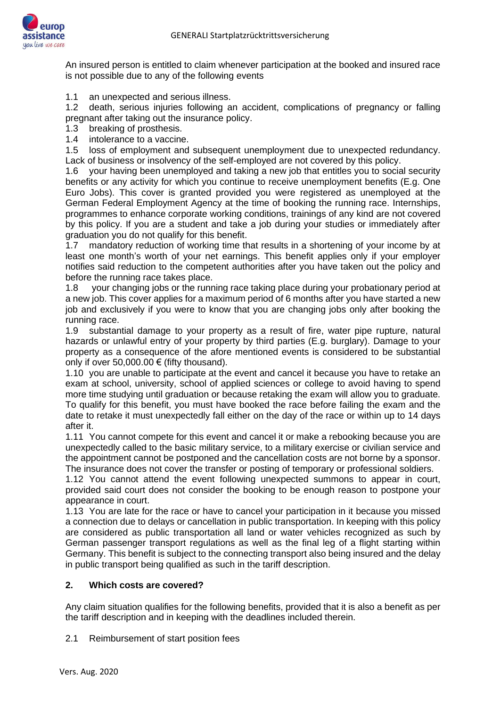

An insured person is entitled to claim whenever participation at the booked and insured race is not possible due to any of the following events

1.1 an unexpected and serious illness.

1.2 death, serious injuries following an accident, complications of pregnancy or falling pregnant after taking out the insurance policy.

- 1.3 breaking of prosthesis.
- 1.4 intolerance to a vaccine.

1.5 loss of employment and subsequent unemployment due to unexpected redundancy. Lack of business or insolvency of the self-employed are not covered by this policy.

1.6 your having been unemployed and taking a new job that entitles you to social security benefits or any activity for which you continue to receive unemployment benefits (E.g. One Euro Jobs). This cover is granted provided you were registered as unemployed at the German Federal Employment Agency at the time of booking the running race. Internships, programmes to enhance corporate working conditions, trainings of any kind are not covered by this policy. If you are a student and take a job during your studies or immediately after graduation you do not qualify for this benefit.

1.7 mandatory reduction of working time that results in a shortening of your income by at least one month's worth of your net earnings. This benefit applies only if your employer notifies said reduction to the competent authorities after you have taken out the policy and before the running race takes place.

1.8 your changing jobs or the running race taking place during your probationary period at a new job. This cover applies for a maximum period of 6 months after you have started a new job and exclusively if you were to know that you are changing jobs only after booking the running race.

1.9 substantial damage to your property as a result of fire, water pipe rupture, natural hazards or unlawful entry of your property by third parties (E.g. burglary). Damage to your property as a consequence of the afore mentioned events is considered to be substantial only if over 50,000.00  $\epsilon$  (fifty thousand).

1.10 you are unable to participate at the event and cancel it because you have to retake an exam at school, university, school of applied sciences or college to avoid having to spend more time studying until graduation or because retaking the exam will allow you to graduate. To qualify for this benefit, you must have booked the race before failing the exam and the date to retake it must unexpectedly fall either on the day of the race or within up to 14 days after it.

1.11 You cannot compete for this event and cancel it or make a rebooking because you are unexpectedly called to the basic military service, to a military exercise or civilian service and the appointment cannot be postponed and the cancellation costs are not borne by a sponsor. The insurance does not cover the transfer or posting of temporary or professional soldiers.

1.12 You cannot attend the event following unexpected summons to appear in court, provided said court does not consider the booking to be enough reason to postpone your appearance in court.

1.13 You are late for the race or have to cancel your participation in it because you missed a connection due to delays or cancellation in public transportation. In keeping with this policy are considered as public transportation all land or water vehicles recognized as such by German passenger transport regulations as well as the final leg of a flight starting within Germany. This benefit is subject to the connecting transport also being insured and the delay in public transport being qualified as such in the tariff description.

## **2. Which costs are covered?**

Any claim situation qualifies for the following benefits, provided that it is also a benefit as per the tariff description and in keeping with the deadlines included therein.

2.1 Reimbursement of start position fees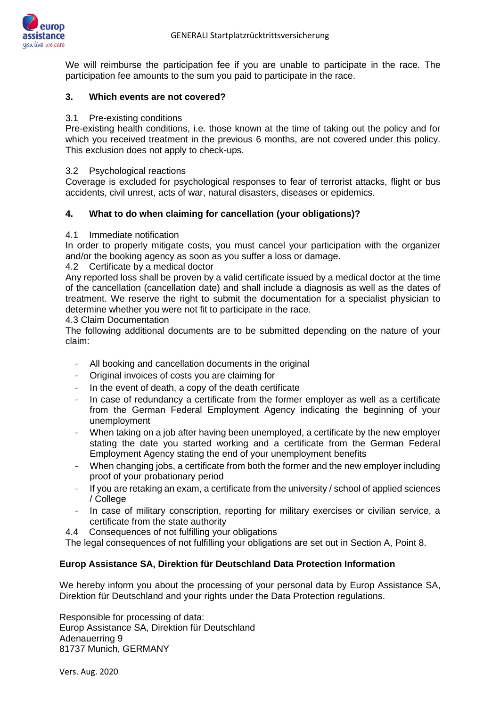We will reimburse the participation fee if you are unable to participate in the race. The participation fee amounts to the sum you paid to participate in the race.

#### **3. Which events are not covered?**

#### 3.1 Pre-existing conditions

Pre-existing health conditions, i.e. those known at the time of taking out the policy and for which you received treatment in the previous 6 months, are not covered under this policy. This exclusion does not apply to check-ups.

#### 3.2 Psychological reactions

Coverage is excluded for psychological responses to fear of terrorist attacks, flight or bus accidents, civil unrest, acts of war, natural disasters, diseases or epidemics.

## **4. What to do when claiming for cancellation (your obligations)?**

## 4.1 Immediate notification

In order to properly mitigate costs, you must cancel your participation with the organizer and/or the booking agency as soon as you suffer a loss or damage.

#### 4.2 Certificate by a medical doctor

Any reported loss shall be proven by a valid certificate issued by a medical doctor at the time of the cancellation (cancellation date) and shall include a diagnosis as well as the dates of treatment. We reserve the right to submit the documentation for a specialist physician to determine whether you were not fit to participate in the race.

#### 4.3 Claim Documentation

The following additional documents are to be submitted depending on the nature of your claim:

- All booking and cancellation documents in the original
- Original invoices of costs you are claiming for
- In the event of death, a copy of the death certificate
- In case of redundancy a certificate from the former employer as well as a certificate from the German Federal Employment Agency indicating the beginning of your unemployment
- When taking on a job after having been unemployed, a certificate by the new employer stating the date you started working and a certificate from the German Federal Employment Agency stating the end of your unemployment benefits
- When changing jobs, a certificate from both the former and the new employer including proof of your probationary period
- If you are retaking an exam, a certificate from the university / school of applied sciences / College
- In case of military conscription, reporting for military exercises or civilian service, a certificate from the state authority
- 4.4 Consequences of not fulfilling your obligations

The legal consequences of not fulfilling your obligations are set out in Section A, Point 8.

## **Europ Assistance SA, Direktion für Deutschland Data Protection Information**

We hereby inform you about the processing of your personal data by Europ Assistance SA, Direktion für Deutschland and your rights under the Data Protection regulations.

Responsible for processing of data: Europ Assistance SA, Direktion für Deutschland Adenauerring 9 81737 Munich, GERMANY

Vers. Aug. 2020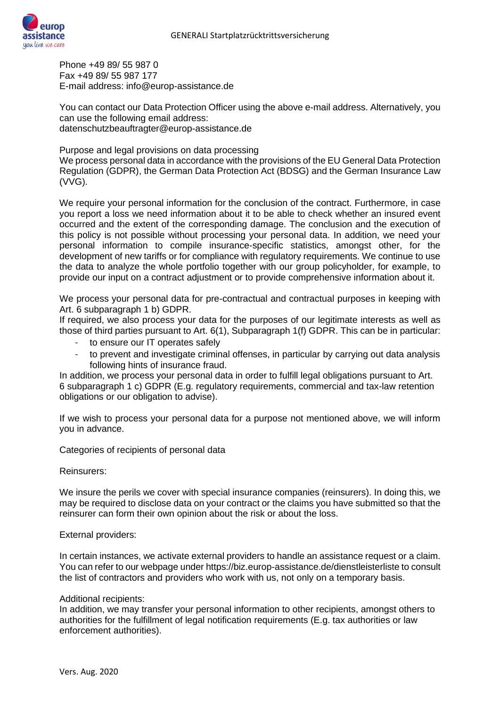

Phone +49 89/ 55 987 0 Fax +49 89/ 55 987 177 E-mail address: info@europ-assistance.de

You can contact our Data Protection Officer using the above e-mail address. Alternatively, you can use the following email address: datenschutzbeauftragter@europ-assistance.de

Purpose and legal provisions on data processing We process personal data in accordance with the provisions of the EU General Data Protection Regulation (GDPR), the German Data Protection Act (BDSG) and the German Insurance Law (VVG).

We require your personal information for the conclusion of the contract. Furthermore, in case you report a loss we need information about it to be able to check whether an insured event occurred and the extent of the corresponding damage. The conclusion and the execution of this policy is not possible without processing your personal data. In addition, we need your personal information to compile insurance-specific statistics, amongst other, for the development of new tariffs or for compliance with regulatory requirements. We continue to use the data to analyze the whole portfolio together with our group policyholder, for example, to provide our input on a contract adjustment or to provide comprehensive information about it.

We process your personal data for pre-contractual and contractual purposes in keeping with Art. 6 subparagraph 1 b) GDPR.

If required, we also process your data for the purposes of our legitimate interests as well as those of third parties pursuant to Art. 6(1), Subparagraph 1(f) GDPR. This can be in particular:

- to ensure our IT operates safely
- to prevent and investigate criminal offenses, in particular by carrying out data analysis following hints of insurance fraud.

In addition, we process your personal data in order to fulfill legal obligations pursuant to Art. 6 subparagraph 1 c) GDPR (E.g. regulatory requirements, commercial and tax-law retention obligations or our obligation to advise).

If we wish to process your personal data for a purpose not mentioned above, we will inform you in advance.

Categories of recipients of personal data

Reinsurers:

We insure the perils we cover with special insurance companies (reinsurers). In doing this, we may be required to disclose data on your contract or the claims you have submitted so that the reinsurer can form their own opinion about the risk or about the loss.

## External providers:

In certain instances, we activate external providers to handle an assistance request or a claim. You can refer to our webpage under https://biz.europ-assistance.de/dienstleisterliste to consult the list of contractors and providers who work with us, not only on a temporary basis.

## Additional recipients:

In addition, we may transfer your personal information to other recipients, amongst others to authorities for the fulfillment of legal notification requirements (E.g. tax authorities or law enforcement authorities).